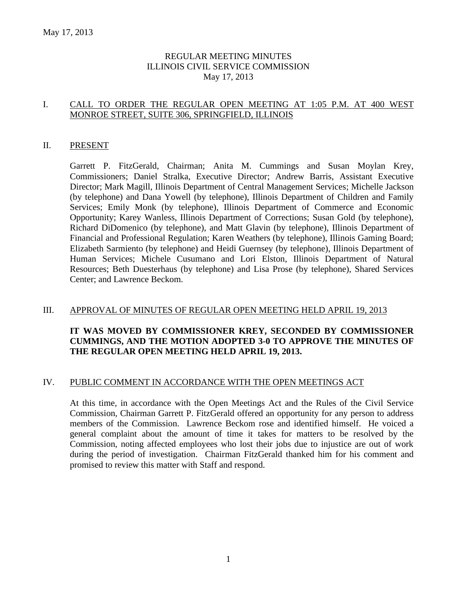### REGULAR MEETING MINUTES ILLINOIS CIVIL SERVICE COMMISSION May 17, 2013

### I. CALL TO ORDER THE REGULAR OPEN MEETING AT 1:05 P.M. AT 400 WEST MONROE STREET, SUITE 306, SPRINGFIELD, ILLINOIS

#### II. PRESENT

Garrett P. FitzGerald, Chairman; Anita M. Cummings and Susan Moylan Krey, Commissioners; Daniel Stralka, Executive Director; Andrew Barris, Assistant Executive Director; Mark Magill, Illinois Department of Central Management Services; Michelle Jackson (by telephone) and Dana Yowell (by telephone), Illinois Department of Children and Family Services; Emily Monk (by telephone), Illinois Department of Commerce and Economic Opportunity; Karey Wanless, Illinois Department of Corrections; Susan Gold (by telephone), Richard DiDomenico (by telephone), and Matt Glavin (by telephone), Illinois Department of Financial and Professional Regulation; Karen Weathers (by telephone), Illinois Gaming Board; Elizabeth Sarmiento (by telephone) and Heidi Guernsey (by telephone), Illinois Department of Human Services; Michele Cusumano and Lori Elston, Illinois Department of Natural Resources; Beth Duesterhaus (by telephone) and Lisa Prose (by telephone), Shared Services Center; and Lawrence Beckom.

### III. APPROVAL OF MINUTES OF REGULAR OPEN MEETING HELD APRIL 19, 2013

### **IT WAS MOVED BY COMMISSIONER KREY, SECONDED BY COMMISSIONER CUMMINGS, AND THE MOTION ADOPTED 3-0 TO APPROVE THE MINUTES OF THE REGULAR OPEN MEETING HELD APRIL 19, 2013.**

### IV. PUBLIC COMMENT IN ACCORDANCE WITH THE OPEN MEETINGS ACT

At this time, in accordance with the Open Meetings Act and the Rules of the Civil Service Commission, Chairman Garrett P. FitzGerald offered an opportunity for any person to address members of the Commission. Lawrence Beckom rose and identified himself. He voiced a general complaint about the amount of time it takes for matters to be resolved by the Commission, noting affected employees who lost their jobs due to injustice are out of work during the period of investigation. Chairman FitzGerald thanked him for his comment and promised to review this matter with Staff and respond.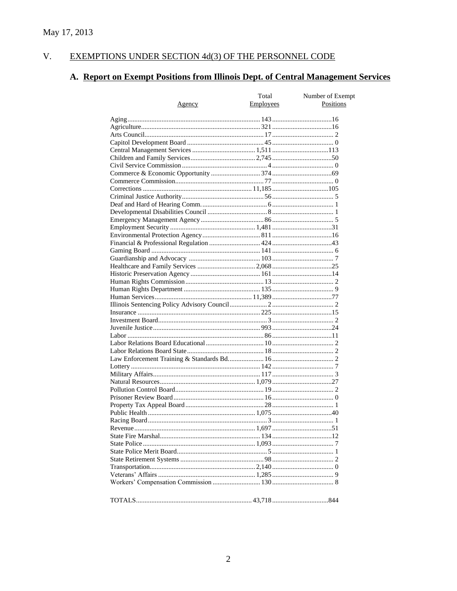#### $V<sub>r</sub>$ EXEMPTIONS UNDER SECTION 4d(3) OF THE PERSONNEL CODE

# A. Report on Exempt Positions from Illinois Dept. of Central Management Services

|        | Total            | Number of Exempt |
|--------|------------------|------------------|
| Agency | <b>Employees</b> | Positions        |
|        |                  |                  |
|        |                  |                  |
|        |                  |                  |
|        |                  |                  |
|        |                  |                  |
|        |                  |                  |
|        |                  |                  |
|        |                  |                  |
|        |                  |                  |
|        |                  |                  |
|        |                  |                  |
|        |                  |                  |
|        |                  |                  |
|        |                  |                  |
|        |                  |                  |
|        |                  |                  |
|        |                  |                  |
|        |                  |                  |
|        |                  |                  |
|        |                  |                  |
|        |                  |                  |
|        |                  |                  |
|        |                  |                  |
|        |                  |                  |
|        |                  |                  |
|        |                  |                  |
|        |                  |                  |
|        |                  |                  |
|        |                  |                  |
|        |                  |                  |
|        |                  |                  |
|        |                  |                  |
|        |                  |                  |
|        |                  |                  |
|        |                  |                  |
|        |                  |                  |
|        |                  |                  |
|        |                  |                  |
|        |                  |                  |
|        |                  |                  |
|        |                  |                  |
|        |                  |                  |
|        |                  |                  |
|        |                  |                  |
|        |                  |                  |
|        |                  |                  |
|        |                  |                  |
|        |                  |                  |
|        |                  |                  |
|        |                  |                  |
|        |                  |                  |
|        |                  |                  |
|        |                  |                  |
|        |                  |                  |
|        |                  |                  |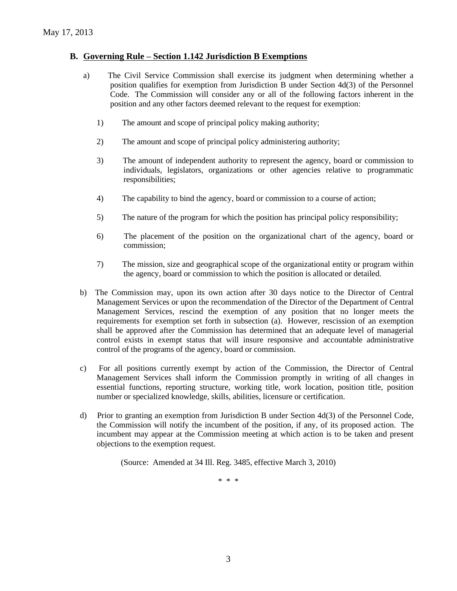### **B. Governing Rule – Section 1.142 Jurisdiction B Exemptions**

- a) The Civil Service Commission shall exercise its judgment when determining whether a position qualifies for exemption from Jurisdiction B under Section 4d(3) of the Personnel Code. The Commission will consider any or all of the following factors inherent in the position and any other factors deemed relevant to the request for exemption:
	- 1) The amount and scope of principal policy making authority;
	- 2) The amount and scope of principal policy administering authority;
	- 3) The amount of independent authority to represent the agency, board or commission to individuals, legislators, organizations or other agencies relative to programmatic responsibilities;
	- 4) The capability to bind the agency, board or commission to a course of action;
	- 5) The nature of the program for which the position has principal policy responsibility;
	- 6) The placement of the position on the organizational chart of the agency, board or commission;
	- 7) The mission, size and geographical scope of the organizational entity or program within the agency, board or commission to which the position is allocated or detailed.
- b) The Commission may, upon its own action after 30 days notice to the Director of Central Management Services or upon the recommendation of the Director of the Department of Central Management Services, rescind the exemption of any position that no longer meets the requirements for exemption set forth in subsection (a). However, rescission of an exemption shall be approved after the Commission has determined that an adequate level of managerial control exists in exempt status that will insure responsive and accountable administrative control of the programs of the agency, board or commission.
- c) For all positions currently exempt by action of the Commission, the Director of Central Management Services shall inform the Commission promptly in writing of all changes in essential functions, reporting structure, working title, work location, position title, position number or specialized knowledge, skills, abilities, licensure or certification.
- d) Prior to granting an exemption from Jurisdiction B under Section 4d(3) of the Personnel Code, the Commission will notify the incumbent of the position, if any, of its proposed action. The incumbent may appear at the Commission meeting at which action is to be taken and present objections to the exemption request.

(Source: Amended at 34 Ill. Reg. 3485, effective March 3, 2010)

\* \* \*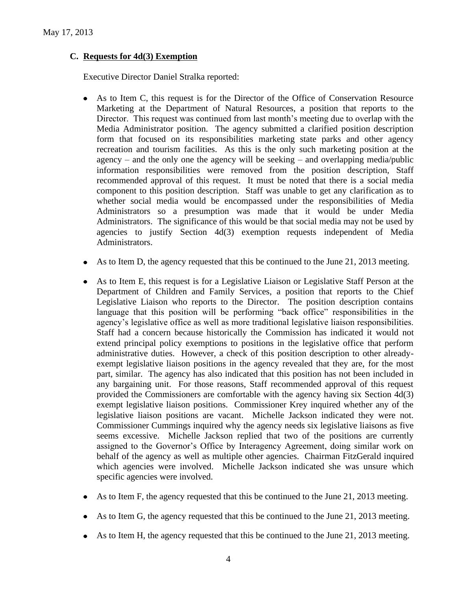### **C. Requests for 4d(3) Exemption**

Executive Director Daniel Stralka reported:

- As to Item C, this request is for the Director of the Office of Conservation Resource Marketing at the Department of Natural Resources, a position that reports to the Director. This request was continued from last month's meeting due to overlap with the Media Administrator position. The agency submitted a clarified position description form that focused on its responsibilities marketing state parks and other agency recreation and tourism facilities. As this is the only such marketing position at the agency – and the only one the agency will be seeking – and overlapping media/public information responsibilities were removed from the position description, Staff recommended approval of this request. It must be noted that there is a social media component to this position description. Staff was unable to get any clarification as to whether social media would be encompassed under the responsibilities of Media Administrators so a presumption was made that it would be under Media Administrators. The significance of this would be that social media may not be used by agencies to justify Section 4d(3) exemption requests independent of Media Administrators.
- As to Item D, the agency requested that this be continued to the June 21, 2013 meeting.
- As to Item E, this request is for a Legislative Liaison or Legislative Staff Person at the Department of Children and Family Services, a position that reports to the Chief Legislative Liaison who reports to the Director. The position description contains language that this position will be performing "back office" responsibilities in the agency's legislative office as well as more traditional legislative liaison responsibilities. Staff had a concern because historically the Commission has indicated it would not extend principal policy exemptions to positions in the legislative office that perform administrative duties. However, a check of this position description to other alreadyexempt legislative liaison positions in the agency revealed that they are, for the most part, similar. The agency has also indicated that this position has not been included in any bargaining unit. For those reasons, Staff recommended approval of this request provided the Commissioners are comfortable with the agency having six Section 4d(3) exempt legislative liaison positions. Commissioner Krey inquired whether any of the legislative liaison positions are vacant. Michelle Jackson indicated they were not. Commissioner Cummings inquired why the agency needs six legislative liaisons as five seems excessive. Michelle Jackson replied that two of the positions are currently assigned to the Governor's Office by Interagency Agreement, doing similar work on behalf of the agency as well as multiple other agencies. Chairman FitzGerald inquired which agencies were involved. Michelle Jackson indicated she was unsure which specific agencies were involved.
- As to Item F, the agency requested that this be continued to the June 21, 2013 meeting.
- As to Item G, the agency requested that this be continued to the June 21, 2013 meeting.
- $\bullet$  As to Item H, the agency requested that this be continued to the June 21, 2013 meeting.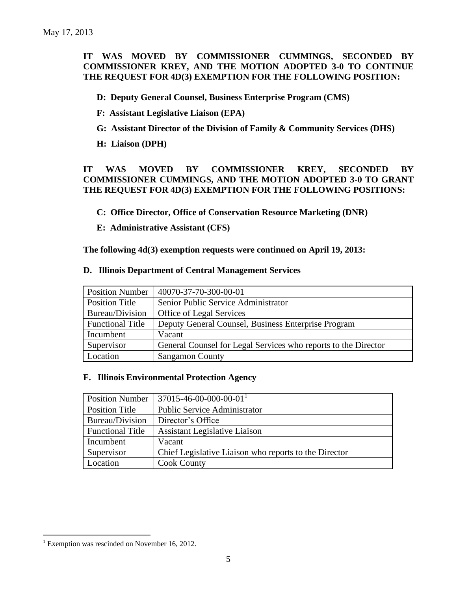### **IT WAS MOVED BY COMMISSIONER CUMMINGS, SECONDED BY COMMISSIONER KREY, AND THE MOTION ADOPTED 3-0 TO CONTINUE THE REQUEST FOR 4D(3) EXEMPTION FOR THE FOLLOWING POSITION:**

**D: Deputy General Counsel, Business Enterprise Program (CMS)**

- **F: Assistant Legislative Liaison (EPA)**
- **G: Assistant Director of the Division of Family & Community Services (DHS)**
- **H: Liaison (DPH)**

### **IT WAS MOVED BY COMMISSIONER KREY, SECONDED BY COMMISSIONER CUMMINGS, AND THE MOTION ADOPTED 3-0 TO GRANT THE REQUEST FOR 4D(3) EXEMPTION FOR THE FOLLOWING POSITIONS:**

- **C: Office Director, Office of Conservation Resource Marketing (DNR)**
- **E: Administrative Assistant (CFS)**

**The following 4d(3) exemption requests were continued on April 19, 2013:**

| <b>Position Number</b>  | 40070-37-70-300-00-01                                          |
|-------------------------|----------------------------------------------------------------|
| Position Title          | Senior Public Service Administrator                            |
| Bureau/Division         | <b>Office of Legal Services</b>                                |
| <b>Functional Title</b> | Deputy General Counsel, Business Enterprise Program            |
| Incumbent               | Vacant                                                         |
| Supervisor              | General Counsel for Legal Services who reports to the Director |
| Location                | <b>Sangamon County</b>                                         |

#### **D. Illinois Department of Central Management Services**

### **F. Illinois Environmental Protection Agency**

| <b>Position Number</b>  | $37015 - 46 - 00 - 000 - 00 - 01$                     |
|-------------------------|-------------------------------------------------------|
| <b>Position Title</b>   | <b>Public Service Administrator</b>                   |
| Bureau/Division         | Director's Office                                     |
| <b>Functional Title</b> | <b>Assistant Legislative Liaison</b>                  |
| Incumbent               | Vacant                                                |
| Supervisor              | Chief Legislative Liaison who reports to the Director |
| Location                | <b>Cook County</b>                                    |

 $\overline{a}$  $1$  Exemption was rescinded on November 16, 2012.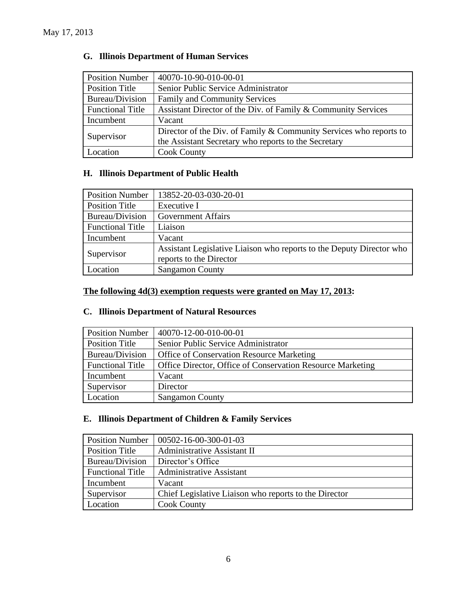| <b>Position Number</b>  | 40070-10-90-010-00-01                                                |
|-------------------------|----------------------------------------------------------------------|
| <b>Position Title</b>   | Senior Public Service Administrator                                  |
| Bureau/Division         | <b>Family and Community Services</b>                                 |
| <b>Functional Title</b> | Assistant Director of the Div. of Family & Community Services        |
| Incumbent               | Vacant                                                               |
|                         | Director of the Div. of Family $&$ Community Services who reports to |
| Supervisor              | the Assistant Secretary who reports to the Secretary                 |
| Location                | <b>Cook County</b>                                                   |

### **G. Illinois Department of Human Services**

## **H. Illinois Department of Public Health**

| <b>Position Number</b>  | 13852-20-03-030-20-01                                                                           |
|-------------------------|-------------------------------------------------------------------------------------------------|
| <b>Position Title</b>   | Executive I                                                                                     |
| Bureau/Division         | <b>Government Affairs</b>                                                                       |
| <b>Functional Title</b> | Liaison                                                                                         |
| Incumbent               | Vacant                                                                                          |
| Supervisor              | Assistant Legislative Liaison who reports to the Deputy Director who<br>reports to the Director |
| Location                | <b>Sangamon County</b>                                                                          |

### **The following 4d(3) exemption requests were granted on May 17, 2013:**

### **C. Illinois Department of Natural Resources**

| <b>Position Number</b>  | 40070-12-00-010-00-01                                      |
|-------------------------|------------------------------------------------------------|
| Position Title          | Senior Public Service Administrator                        |
| Bureau/Division         | <b>Office of Conservation Resource Marketing</b>           |
| <b>Functional Title</b> | Office Director, Office of Conservation Resource Marketing |
| Incumbent               | Vacant                                                     |
| Supervisor              | Director                                                   |
| Location                | <b>Sangamon County</b>                                     |

### **E. Illinois Department of Children & Family Services**

| <b>Position Number</b>  | $ 00502 - 16 - 00 - 300 - 01 - 03 $                   |
|-------------------------|-------------------------------------------------------|
| Position Title          | <b>Administrative Assistant II</b>                    |
| Bureau/Division         | Director's Office                                     |
| <b>Functional Title</b> | <b>Administrative Assistant</b>                       |
| Incumbent               | Vacant                                                |
| Supervisor              | Chief Legislative Liaison who reports to the Director |
| Location                | <b>Cook County</b>                                    |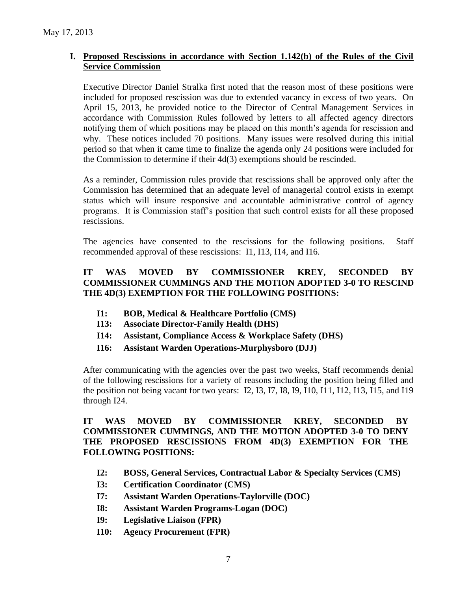### **I. Proposed Rescissions in accordance with Section 1.142(b) of the Rules of the Civil Service Commission**

Executive Director Daniel Stralka first noted that the reason most of these positions were included for proposed rescission was due to extended vacancy in excess of two years. On April 15, 2013, he provided notice to the Director of Central Management Services in accordance with Commission Rules followed by letters to all affected agency directors notifying them of which positions may be placed on this month's agenda for rescission and why. These notices included 70 positions. Many issues were resolved during this initial period so that when it came time to finalize the agenda only 24 positions were included for the Commission to determine if their 4d(3) exemptions should be rescinded.

As a reminder, Commission rules provide that rescissions shall be approved only after the Commission has determined that an adequate level of managerial control exists in exempt status which will insure responsive and accountable administrative control of agency programs. It is Commission staff's position that such control exists for all these proposed rescissions.

The agencies have consented to the rescissions for the following positions. Staff recommended approval of these rescissions: I1, I13, I14, and I16.

### **IT WAS MOVED BY COMMISSIONER KREY, SECONDED BY COMMISSIONER CUMMINGS AND THE MOTION ADOPTED 3-0 TO RESCIND THE 4D(3) EXEMPTION FOR THE FOLLOWING POSITIONS:**

- **I1: BOB, Medical & Healthcare Portfolio (CMS)**
- **I13: Associate Director-Family Health (DHS)**
- **I14: Assistant, Compliance Access & Workplace Safety (DHS)**
- **I16: Assistant Warden Operations-Murphysboro (DJJ)**

After communicating with the agencies over the past two weeks, Staff recommends denial of the following rescissions for a variety of reasons including the position being filled and the position not being vacant for two years: I2, I3, I7, I8, I9, I10, I11, I12, I13, I15, and I19 through I24.

### **IT WAS MOVED BY COMMISSIONER KREY, SECONDED BY COMMISSIONER CUMMINGS, AND THE MOTION ADOPTED 3-0 TO DENY THE PROPOSED RESCISSIONS FROM 4D(3) EXEMPTION FOR THE FOLLOWING POSITIONS:**

- **I2: BOSS, General Services, Contractual Labor & Specialty Services (CMS)**
- **I3: Certification Coordinator (CMS)**
- **I7: Assistant Warden Operations-Taylorville (DOC)**
- **I8: Assistant Warden Programs-Logan (DOC)**
- **I9: Legislative Liaison (FPR)**
- **I10: Agency Procurement (FPR)**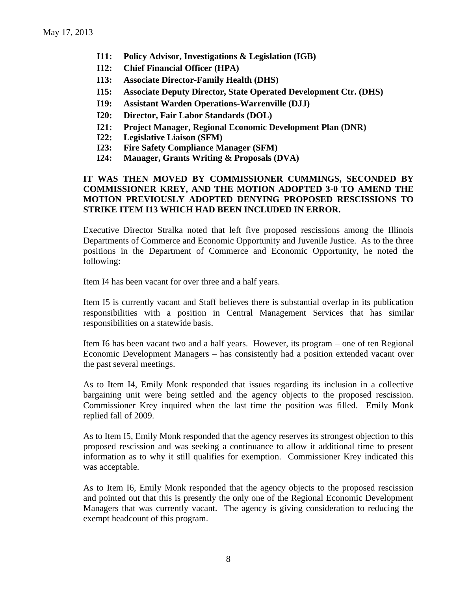- **I11: Policy Advisor, Investigations & Legislation (IGB)**
- **I12: Chief Financial Officer (HPA)**
- **I13: Associate Director-Family Health (DHS)**
- **I15: Associate Deputy Director, State Operated Development Ctr. (DHS)**
- **I19: Assistant Warden Operations-Warrenville (DJJ)**
- **I20: Director, Fair Labor Standards (DOL)**
- **I21: Project Manager, Regional Economic Development Plan (DNR)**
- **I22: Legislative Liaison (SFM)**
- **I23: Fire Safety Compliance Manager (SFM)**
- **I24: Manager, Grants Writing & Proposals (DVA)**

### **IT WAS THEN MOVED BY COMMISSIONER CUMMINGS, SECONDED BY COMMISSIONER KREY, AND THE MOTION ADOPTED 3-0 TO AMEND THE MOTION PREVIOUSLY ADOPTED DENYING PROPOSED RESCISSIONS TO STRIKE ITEM I13 WHICH HAD BEEN INCLUDED IN ERROR.**

Executive Director Stralka noted that left five proposed rescissions among the Illinois Departments of Commerce and Economic Opportunity and Juvenile Justice. As to the three positions in the Department of Commerce and Economic Opportunity, he noted the following:

Item I4 has been vacant for over three and a half years.

Item I5 is currently vacant and Staff believes there is substantial overlap in its publication responsibilities with a position in Central Management Services that has similar responsibilities on a statewide basis.

Item I6 has been vacant two and a half years. However, its program – one of ten Regional Economic Development Managers – has consistently had a position extended vacant over the past several meetings.

As to Item I4, Emily Monk responded that issues regarding its inclusion in a collective bargaining unit were being settled and the agency objects to the proposed rescission. Commissioner Krey inquired when the last time the position was filled. Emily Monk replied fall of 2009.

As to Item I5, Emily Monk responded that the agency reserves its strongest objection to this proposed rescission and was seeking a continuance to allow it additional time to present information as to why it still qualifies for exemption. Commissioner Krey indicated this was acceptable.

As to Item I6, Emily Monk responded that the agency objects to the proposed rescission and pointed out that this is presently the only one of the Regional Economic Development Managers that was currently vacant. The agency is giving consideration to reducing the exempt headcount of this program.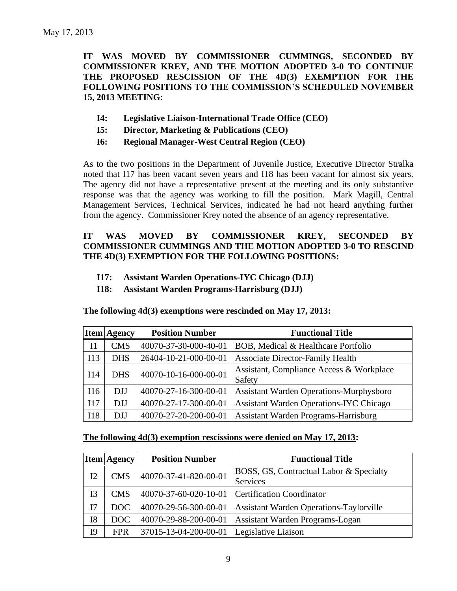**IT WAS MOVED BY COMMISSIONER CUMMINGS, SECONDED BY COMMISSIONER KREY, AND THE MOTION ADOPTED 3-0 TO CONTINUE THE PROPOSED RESCISSION OF THE 4D(3) EXEMPTION FOR THE FOLLOWING POSITIONS TO THE COMMISSION'S SCHEDULED NOVEMBER 15, 2013 MEETING:**

- **I4: Legislative Liaison-International Trade Office (CEO)**
- **I5: Director, Marketing & Publications (CEO)**
- **I6: Regional Manager-West Central Region (CEO)**

As to the two positions in the Department of Juvenile Justice, Executive Director Stralka noted that I17 has been vacant seven years and I18 has been vacant for almost six years. The agency did not have a representative present at the meeting and its only substantive response was that the agency was working to fill the position. Mark Magill, Central Management Services, Technical Services, indicated he had not heard anything further from the agency. Commissioner Krey noted the absence of an agency representative.

### **IT WAS MOVED BY COMMISSIONER KREY, SECONDED BY COMMISSIONER CUMMINGS AND THE MOTION ADOPTED 3-0 TO RESCIND THE 4D(3) EXEMPTION FOR THE FOLLOWING POSITIONS:**

- **I17: Assistant Warden Operations-IYC Chicago (DJJ)**
- **I18: Assistant Warden Programs-Harrisburg (DJJ)**

|                | <b>Item Agency</b> | <b>Position Number</b> | <b>Functional Title</b>                            |
|----------------|--------------------|------------------------|----------------------------------------------------|
| I <sub>1</sub> | <b>CMS</b>         | 40070-37-30-000-40-01  | BOB, Medical & Healthcare Portfolio                |
| I13            | <b>DHS</b>         | 26404-10-21-000-00-01  | <b>Associate Director-Family Health</b>            |
| I14            | <b>DHS</b>         | 40070-10-16-000-00-01  | Assistant, Compliance Access & Workplace<br>Safety |
| I16            | <b>DJJ</b>         | 40070-27-16-300-00-01  | <b>Assistant Warden Operations-Murphysboro</b>     |
| I17            | <b>DJJ</b>         | 40070-27-17-300-00-01  | <b>Assistant Warden Operations-IYC Chicago</b>     |
| <b>I18</b>     | <b>DJJ</b>         | 40070-27-20-200-00-01  | Assistant Warden Programs-Harrisburg               |

**The following 4d(3) exemptions were rescinded on May 17, 2013:**

#### **The following 4d(3) exemption rescissions were denied on May 17, 2013:**

|           | <b>Item Agency</b> | <b>Position Number</b> | <b>Functional Title</b>                        |
|-----------|--------------------|------------------------|------------------------------------------------|
| I2        | <b>CMS</b>         | 40070-37-41-820-00-01  | BOSS, GS, Contractual Labor & Specialty        |
|           |                    |                        | Services                                       |
| I3        | <b>CMS</b>         | 40070-37-60-020-10-01  | <b>Certification Coordinator</b>               |
| I7        | DOC.               | 40070-29-56-300-00-01  | <b>Assistant Warden Operations-Taylorville</b> |
| <b>I8</b> | DOC.               | 40070-29-88-200-00-01  | Assistant Warden Programs-Logan                |
| I9        | <b>FPR</b>         | 37015-13-04-200-00-01  | Legislative Liaison                            |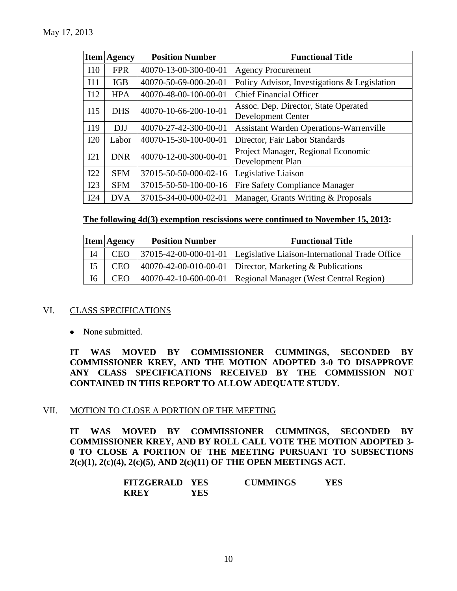|     | <b>Item Agency</b> | <b>Position Number</b> | <b>Functional Title</b>                                           |
|-----|--------------------|------------------------|-------------------------------------------------------------------|
| I10 | <b>FPR</b>         | 40070-13-00-300-00-01  | <b>Agency Procurement</b>                                         |
| I11 | <b>IGB</b>         | 40070-50-69-000-20-01  | Policy Advisor, Investigations & Legislation                      |
| I12 | <b>HPA</b>         | 40070-48-00-100-00-01  | <b>Chief Financial Officer</b>                                    |
| I15 | <b>DHS</b>         | 40070-10-66-200-10-01  | Assoc. Dep. Director, State Operated<br><b>Development Center</b> |
| I19 | <b>DJJ</b>         | 40070-27-42-300-00-01  | <b>Assistant Warden Operations-Warrenville</b>                    |
| I20 | Labor              | 40070-15-30-100-00-01  | Director, Fair Labor Standards                                    |
| I21 | <b>DNR</b>         | 40070-12-00-300-00-01  | Project Manager, Regional Economic<br>Development Plan            |
| I22 | <b>SFM</b>         | 37015-50-50-000-02-16  | Legislative Liaison                                               |
| I23 | <b>SFM</b>         | 37015-50-50-100-00-16  | <b>Fire Safety Compliance Manager</b>                             |
| I24 | <b>DVA</b>         | 37015-34-00-000-02-01  | Manager, Grants Writing & Proposals                               |

### **The following 4d(3) exemption rescissions were continued to November 15, 2013:**

|                | <b>Item Agency</b> | <b>Position Number</b> | <b>Functional Title</b>                                                |
|----------------|--------------------|------------------------|------------------------------------------------------------------------|
| I4             | <b>CEO</b>         |                        | 37015-42-00-000-01-01   Legislative Liaison-International Trade Office |
| I <sub>5</sub> | <b>CEO</b>         |                        | 40070-42-00-010-00-01   Director, Marketing & Publications             |
| I <sub>6</sub> | <b>CEO</b>         |                        | 40070-42-10-600-00-01   Regional Manager (West Central Region)         |

### VI. CLASS SPECIFICATIONS

• None submitted.

**IT WAS MOVED BY COMMISSIONER CUMMINGS, SECONDED BY COMMISSIONER KREY, AND THE MOTION ADOPTED 3-0 TO DISAPPROVE ANY CLASS SPECIFICATIONS RECEIVED BY THE COMMISSION NOT CONTAINED IN THIS REPORT TO ALLOW ADEQUATE STUDY.** 

### VII. MOTION TO CLOSE A PORTION OF THE MEETING

**IT WAS MOVED BY COMMISSIONER CUMMINGS, SECONDED BY COMMISSIONER KREY, AND BY ROLL CALL VOTE THE MOTION ADOPTED 3- 0 TO CLOSE A PORTION OF THE MEETING PURSUANT TO SUBSECTIONS 2(c)(1), 2(c)(4), 2(c)(5), AND 2(c)(11) OF THE OPEN MEETINGS ACT.**

| <b>FITZGERALD YES</b> |     | <b>CUMMINGS</b> | YES |
|-----------------------|-----|-----------------|-----|
| <b>KREY</b>           | YES |                 |     |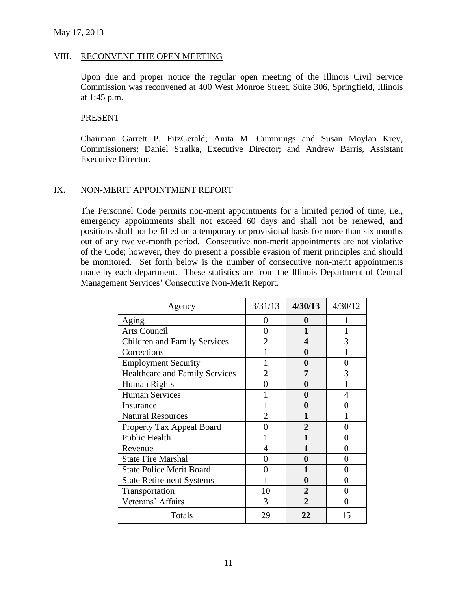#### VIII. RECONVENE THE OPEN MEETING

Upon due and proper notice the regular open meeting of the Illinois Civil Service Commission was reconvened at 400 West Monroe Street, Suite 306, Springfield, Illinois at 1:45 p.m.

#### **PRESENT**

Chairman Garrett P. FitzGerald; Anita M. Cummings and Susan Moylan Krey, Commissioners; Daniel Stralka, Executive Director; and Andrew Barris, Assistant Executive Director.

### IX. NON-MERIT APPOINTMENT REPORT

The Personnel Code permits non-merit appointments for a limited period of time, i.e., emergency appointments shall not exceed 60 days and shall not be renewed, and positions shall not be filled on a temporary or provisional basis for more than six months out of any twelve-month period. Consecutive non-merit appointments are not violative of the Code; however, they do present a possible evasion of merit principles and should be monitored. Set forth below is the number of consecutive non-merit appointments made by each department. These statistics are from the Illinois Department of Central Management Services' Consecutive Non-Merit Report.

| Agency                                | 3/31/13        | 4/30/13        | 4/30/12        |
|---------------------------------------|----------------|----------------|----------------|
| Aging                                 | 0              | 0              |                |
| <b>Arts Council</b>                   | $\overline{0}$ | 1              |                |
| <b>Children and Family Services</b>   | $\overline{2}$ | 4              | 3              |
| Corrections                           |                | 0              |                |
| <b>Employment Security</b>            |                | 0              | $\overline{0}$ |
| <b>Healthcare and Family Services</b> | $\overline{2}$ | 7              | 3              |
| <b>Human Rights</b>                   | 0              | 0              |                |
| <b>Human Services</b>                 |                | 0              | 4              |
| Insurance                             |                | 0              | 0              |
| <b>Natural Resources</b>              | $\overline{2}$ | 1              |                |
| Property Tax Appeal Board             | 0              | $\overline{2}$ | 0              |
| <b>Public Health</b>                  |                | 1              | $\theta$       |
| Revenue                               | 4              | 1              | $\theta$       |
| <b>State Fire Marshal</b>             | 0              | 0              | 0              |
| <b>State Police Merit Board</b>       | 0              | 1              | 0              |
| <b>State Retirement Systems</b>       |                | 0              | 0              |
| Transportation                        | 10             | $\overline{2}$ | $\theta$       |
| Veterans' Affairs                     | 3              | $\overline{2}$ | 0              |
| Totals                                | 29             | 22             | 15             |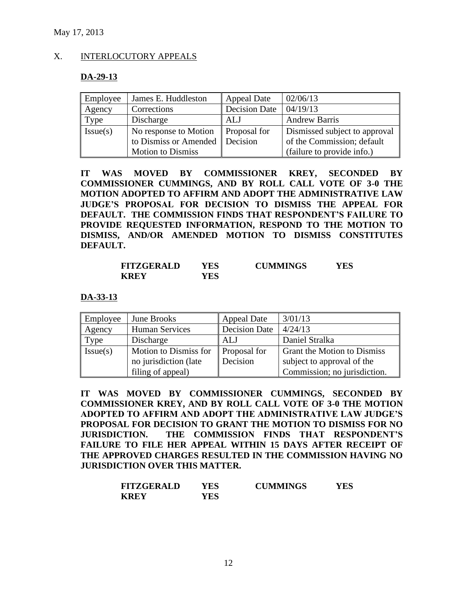### X. INTERLOCUTORY APPEALS

#### **DA-29-13**

| Employee | James E. Huddleston      | <b>Appeal Date</b>   | 02/06/13                      |
|----------|--------------------------|----------------------|-------------------------------|
| Agency   | Corrections              | <b>Decision Date</b> | 04/19/13                      |
| Type     | Discharge                | ALJ                  | <b>Andrew Barris</b>          |
| Issue(s) | No response to Motion    | <b>Proposal for</b>  | Dismissed subject to approval |
|          | to Dismiss or Amended    | Decision             | of the Commission; default    |
|          | <b>Motion to Dismiss</b> |                      | (failure to provide info.)    |

**IT WAS MOVED BY COMMISSIONER KREY, SECONDED BY COMMISSIONER CUMMINGS, AND BY ROLL CALL VOTE OF 3-0 THE MOTION ADOPTED TO AFFIRM AND ADOPT THE ADMINISTRATIVE LAW JUDGE'S PROPOSAL FOR DECISION TO DISMISS THE APPEAL FOR DEFAULT. THE COMMISSION FINDS THAT RESPONDENT'S FAILURE TO PROVIDE REQUESTED INFORMATION, RESPOND TO THE MOTION TO DISMISS, AND/OR AMENDED MOTION TO DISMISS CONSTITUTES DEFAULT.** 

| <b>FITZGERALD</b> | YES | <b>CUMMINGS</b> | YES |
|-------------------|-----|-----------------|-----|
| <b>KREY</b>       | YES |                 |     |

**DA-33-13**

| Employee | June Brooks           | <b>Appeal Date</b>   | 3/01/13                      |
|----------|-----------------------|----------------------|------------------------------|
| Agency   | <b>Human Services</b> | <b>Decision Date</b> | 4/24/13                      |
| Type     | Discharge             | ALJ                  | Daniel Stralka               |
| Issue(s) | Motion to Dismiss for | Proposal for         | Grant the Motion to Dismiss  |
|          | no jurisdiction (late | Decision             | subject to approval of the   |
|          | filing of appeal)     |                      | Commission; no jurisdiction. |

**IT WAS MOVED BY COMMISSIONER CUMMINGS, SECONDED BY COMMISSIONER KREY, AND BY ROLL CALL VOTE OF 3-0 THE MOTION ADOPTED TO AFFIRM AND ADOPT THE ADMINISTRATIVE LAW JUDGE'S PROPOSAL FOR DECISION TO GRANT THE MOTION TO DISMISS FOR NO JURISDICTION. THE COMMISSION FINDS THAT RESPONDENT'S FAILURE TO FILE HER APPEAL WITHIN 15 DAYS AFTER RECEIPT OF THE APPROVED CHARGES RESULTED IN THE COMMISSION HAVING NO JURISDICTION OVER THIS MATTER.** 

| <b>FITZGERALD</b> | YES | <b>CUMMINGS</b> | YES |
|-------------------|-----|-----------------|-----|
| KREY              | YES |                 |     |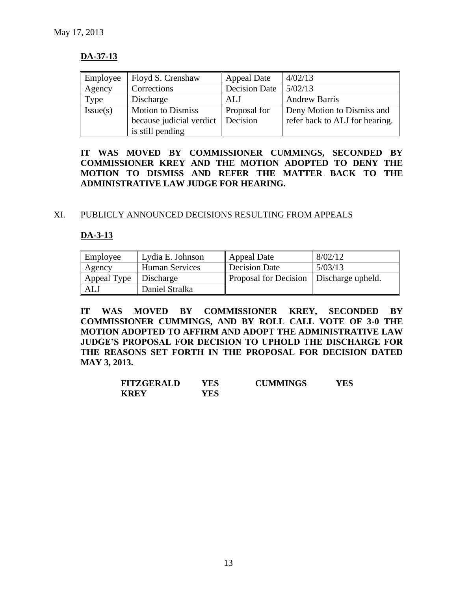### **DA-37-13**

| Employee | Floyd S. Crenshaw        | <b>Appeal Date</b>   | 4/02/13                        |
|----------|--------------------------|----------------------|--------------------------------|
| Agency   | Corrections              | <b>Decision Date</b> | 5/02/13                        |
| Type     | Discharge                | ALJ                  | <b>Andrew Barris</b>           |
| Issue(s) | <b>Motion to Dismiss</b> | Proposal for         | Deny Motion to Dismiss and     |
|          | because judicial verdict | <b>Decision</b>      | refer back to ALJ for hearing. |
|          | is still pending         |                      |                                |

**IT WAS MOVED BY COMMISSIONER CUMMINGS, SECONDED BY COMMISSIONER KREY AND THE MOTION ADOPTED TO DENY THE MOTION TO DISMISS AND REFER THE MATTER BACK TO THE ADMINISTRATIVE LAW JUDGE FOR HEARING.**

### XI. PUBLICLY ANNOUNCED DECISIONS RESULTING FROM APPEALS

### **DA-3-13**

| Employee    | Lydia E. Johnson      | Appeal Date                               | 8/02/12 |
|-------------|-----------------------|-------------------------------------------|---------|
| Agency      | <b>Human Services</b> | Decision Date                             | 5/03/13 |
| Appeal Type | Discharge             | Proposal for Decision   Discharge upheld. |         |
| ALJ         | Daniel Stralka        |                                           |         |

**IT WAS MOVED BY COMMISSIONER KREY, SECONDED BY COMMISSIONER CUMMINGS, AND BY ROLL CALL VOTE OF 3-0 THE MOTION ADOPTED TO AFFIRM AND ADOPT THE ADMINISTRATIVE LAW JUDGE'S PROPOSAL FOR DECISION TO UPHOLD THE DISCHARGE FOR THE REASONS SET FORTH IN THE PROPOSAL FOR DECISION DATED MAY 3, 2013.**

| <b>FITZGERALD</b> | YES | <b>CUMMINGS</b> | YES |
|-------------------|-----|-----------------|-----|
| <b>KREY</b>       | YES |                 |     |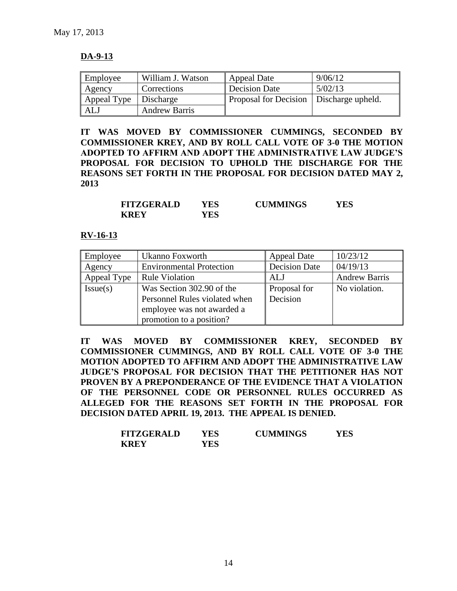### **DA-9-13**

| Employee    | William J. Watson    | Appeal Date                               | 9/06/12 |
|-------------|----------------------|-------------------------------------------|---------|
| Agency      | Corrections          | Decision Date                             | 5/02/13 |
| Appeal Type | Discharge            | Proposal for Decision   Discharge upheld. |         |
| ALJ         | <b>Andrew Barris</b> |                                           |         |

**IT WAS MOVED BY COMMISSIONER CUMMINGS, SECONDED BY COMMISSIONER KREY, AND BY ROLL CALL VOTE OF 3-0 THE MOTION ADOPTED TO AFFIRM AND ADOPT THE ADMINISTRATIVE LAW JUDGE'S PROPOSAL FOR DECISION TO UPHOLD THE DISCHARGE FOR THE REASONS SET FORTH IN THE PROPOSAL FOR DECISION DATED MAY 2, 2013**

| <b>FITZGERALD</b> | YES | <b>CUMMINGS</b> | YES |
|-------------------|-----|-----------------|-----|
| <b>KREY</b>       | YES |                 |     |

#### **RV-16-13**

| Employee    | Ukanno Foxworth                 | <b>Appeal Date</b>   | 10/23/12             |
|-------------|---------------------------------|----------------------|----------------------|
| Agency      | <b>Environmental Protection</b> | <b>Decision Date</b> | 04/19/13             |
| Appeal Type | <b>Rule Violation</b>           | AL J                 | <b>Andrew Barris</b> |
| Issue(s)    | Was Section 302.90 of the       | Proposal for         | No violation.        |
|             | Personnel Rules violated when   | Decision             |                      |
|             | employee was not awarded a      |                      |                      |
|             | promotion to a position?        |                      |                      |

**IT WAS MOVED BY COMMISSIONER KREY, SECONDED BY COMMISSIONER CUMMINGS, AND BY ROLL CALL VOTE OF 3-0 THE MOTION ADOPTED TO AFFIRM AND ADOPT THE ADMINISTRATIVE LAW JUDGE'S PROPOSAL FOR DECISION THAT THE PETITIONER HAS NOT PROVEN BY A PREPONDERANCE OF THE EVIDENCE THAT A VIOLATION OF THE PERSONNEL CODE OR PERSONNEL RULES OCCURRED AS ALLEGED FOR THE REASONS SET FORTH IN THE PROPOSAL FOR DECISION DATED APRIL 19, 2013. THE APPEAL IS DENIED.**

| <b>FITZGERALD</b> | YES | <b>CUMMINGS</b> | YES |
|-------------------|-----|-----------------|-----|
| <b>KREY</b>       | YES |                 |     |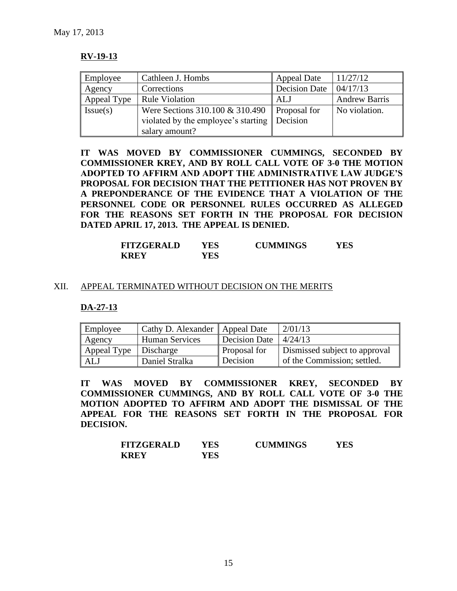### **RV-19-13**

| Employee    | Cathleen J. Hombs                                        | <b>Appeal Date</b>   | 11/27/12             |
|-------------|----------------------------------------------------------|----------------------|----------------------|
| Agency      | Corrections                                              | <b>Decision Date</b> | 04/17/13             |
| Appeal Type | <b>Rule Violation</b>                                    | ALJ                  | <b>Andrew Barris</b> |
| Issue(s)    | Were Sections 310.100 & 310.490   Proposal for           |                      | No violation.        |
|             | violated by the employee's starting $\parallel$ Decision |                      |                      |
|             | salary amount?                                           |                      |                      |

**IT WAS MOVED BY COMMISSIONER CUMMINGS, SECONDED BY COMMISSIONER KREY, AND BY ROLL CALL VOTE OF 3-0 THE MOTION ADOPTED TO AFFIRM AND ADOPT THE ADMINISTRATIVE LAW JUDGE'S PROPOSAL FOR DECISION THAT THE PETITIONER HAS NOT PROVEN BY A PREPONDERANCE OF THE EVIDENCE THAT A VIOLATION OF THE PERSONNEL CODE OR PERSONNEL RULES OCCURRED AS ALLEGED FOR THE REASONS SET FORTH IN THE PROPOSAL FOR DECISION DATED APRIL 17, 2013. THE APPEAL IS DENIED.**

| <b>FITZGERALD</b> | YES | <b>CUMMINGS</b> | YES |
|-------------------|-----|-----------------|-----|
| <b>KREY</b>       | YES |                 |     |

#### XII. APPEAL TERMINATED WITHOUT DECISION ON THE MERITS

**DA-27-13**

| Employee                | Cathy D. Alexander   Appeal Date |                     | 2/01/13                       |
|-------------------------|----------------------------------|---------------------|-------------------------------|
| Agency                  | <b>Human Services</b>            | Decision Date       | 4/24/13                       |
| Appeal Type   Discharge |                                  | <b>Proposal for</b> | Dismissed subject to approval |
| <b>ALJ</b>              | Daniel Stralka                   | Decision            | of the Commission; settled.   |

**IT WAS MOVED BY COMMISSIONER KREY, SECONDED BY COMMISSIONER CUMMINGS, AND BY ROLL CALL VOTE OF 3-0 THE MOTION ADOPTED TO AFFIRM AND ADOPT THE DISMISSAL OF THE APPEAL FOR THE REASONS SET FORTH IN THE PROPOSAL FOR DECISION.**

| <b>FITZGERALD</b> | YES | <b>CUMMINGS</b> | YES |
|-------------------|-----|-----------------|-----|
| <b>KREY</b>       | YES |                 |     |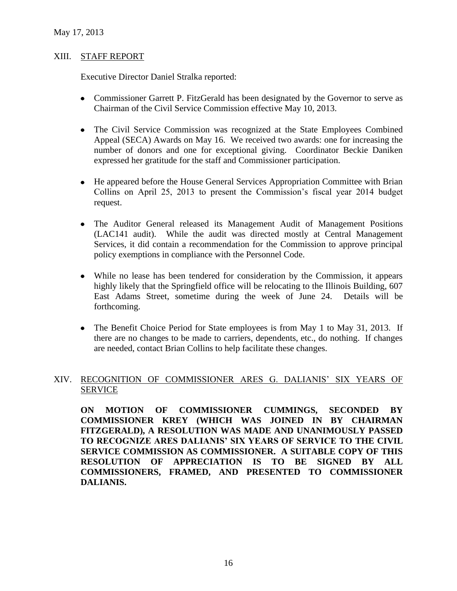### XIII. STAFF REPORT

Executive Director Daniel Stralka reported:

- Commissioner Garrett P. FitzGerald has been designated by the Governor to serve as Chairman of the Civil Service Commission effective May 10, 2013.
- The Civil Service Commission was recognized at the State Employees Combined Appeal (SECA) Awards on May 16. We received two awards: one for increasing the number of donors and one for exceptional giving. Coordinator Beckie Daniken expressed her gratitude for the staff and Commissioner participation.
- He appeared before the House General Services Appropriation Committee with Brian Collins on April 25, 2013 to present the Commission's fiscal year 2014 budget request.
- The Auditor General released its Management Audit of Management Positions (LAC141 audit). While the audit was directed mostly at Central Management Services, it did contain a recommendation for the Commission to approve principal policy exemptions in compliance with the Personnel Code.
- While no lease has been tendered for consideration by the Commission, it appears highly likely that the Springfield office will be relocating to the Illinois Building, 607 East Adams Street, sometime during the week of June 24. Details will be forthcoming.
- The Benefit Choice Period for State employees is from May 1 to May 31, 2013. If there are no changes to be made to carriers, dependents, etc., do nothing. If changes are needed, contact Brian Collins to help facilitate these changes.

### XIV. RECOGNITION OF COMMISSIONER ARES G. DALIANIS' SIX YEARS OF SERVICE

**ON MOTION OF COMMISSIONER CUMMINGS, SECONDED BY COMMISSIONER KREY (WHICH WAS JOINED IN BY CHAIRMAN FITZGERALD), A RESOLUTION WAS MADE AND UNANIMOUSLY PASSED TO RECOGNIZE ARES DALIANIS' SIX YEARS OF SERVICE TO THE CIVIL SERVICE COMMISSION AS COMMISSIONER. A SUITABLE COPY OF THIS RESOLUTION OF APPRECIATION IS TO BE SIGNED BY ALL COMMISSIONERS, FRAMED, AND PRESENTED TO COMMISSIONER DALIANIS.**